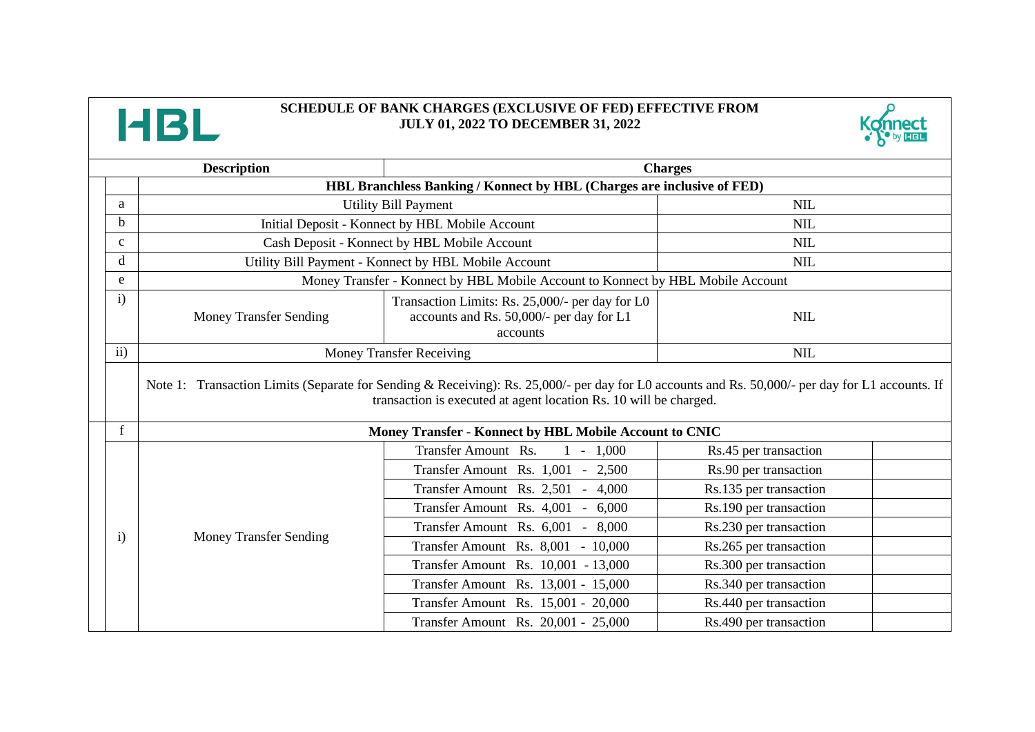

## **SCHEDULE OF BANK CHARGES (EXCLUSIVE OF FED) EFFECTIVE FROM JULY 01, 2022 TO DECEMBER 31, 2022**



| <b>Description</b> |                                                                                                                                                                                                                       | <b>Charges</b>                                                                                          |                        |  |
|--------------------|-----------------------------------------------------------------------------------------------------------------------------------------------------------------------------------------------------------------------|---------------------------------------------------------------------------------------------------------|------------------------|--|
|                    | HBL Branchless Banking / Konnect by HBL (Charges are inclusive of FED)                                                                                                                                                |                                                                                                         |                        |  |
| a                  |                                                                                                                                                                                                                       | <b>Utility Bill Payment</b>                                                                             | <b>NIL</b>             |  |
| $\mathbf b$        |                                                                                                                                                                                                                       | Initial Deposit - Konnect by HBL Mobile Account                                                         | <b>NIL</b>             |  |
| $\mathbf{C}$       | Cash Deposit - Konnect by HBL Mobile Account                                                                                                                                                                          |                                                                                                         | <b>NIL</b>             |  |
| d                  | Utility Bill Payment - Konnect by HBL Mobile Account                                                                                                                                                                  |                                                                                                         | <b>NIL</b>             |  |
| e                  | Money Transfer - Konnect by HBL Mobile Account to Konnect by HBL Mobile Account                                                                                                                                       |                                                                                                         |                        |  |
| $\mathbf{i}$       | <b>Money Transfer Sending</b>                                                                                                                                                                                         | Transaction Limits: Rs. 25,000/- per day for L0<br>accounts and Rs. 50,000/- per day for L1<br>accounts | <b>NIL</b>             |  |
| $\mathbf{ii}$      |                                                                                                                                                                                                                       | <b>Money Transfer Receiving</b>                                                                         | <b>NIL</b>             |  |
|                    | Note 1: Transaction Limits (Separate for Sending & Receiving): Rs. 25,000/- per day for L0 accounts and Rs. 50,000/- per day for L1 accounts. If<br>transaction is executed at agent location Rs. 10 will be charged. |                                                                                                         |                        |  |
| $\mathbf{f}$       | Money Transfer - Konnect by HBL Mobile Account to CNIC                                                                                                                                                                |                                                                                                         |                        |  |
|                    |                                                                                                                                                                                                                       | Transfer Amount Rs.<br>$1 - 1,000$                                                                      | Rs.45 per transaction  |  |
|                    | <b>Money Transfer Sending</b>                                                                                                                                                                                         | Transfer Amount Rs. 1,001 - 2,500                                                                       | Rs.90 per transaction  |  |
|                    |                                                                                                                                                                                                                       | Transfer Amount Rs. 2,501 - 4,000                                                                       | Rs.135 per transaction |  |
|                    |                                                                                                                                                                                                                       | Transfer Amount Rs. 4,001 - 6,000                                                                       | Rs.190 per transaction |  |
| $\mathbf{i}$       |                                                                                                                                                                                                                       | Transfer Amount Rs. 6,001 - 8,000                                                                       | Rs.230 per transaction |  |
|                    |                                                                                                                                                                                                                       | Transfer Amount Rs. 8,001 - 10,000                                                                      | Rs.265 per transaction |  |
|                    |                                                                                                                                                                                                                       | Transfer Amount Rs. 10,001 - 13,000                                                                     | Rs.300 per transaction |  |
|                    |                                                                                                                                                                                                                       | Transfer Amount Rs. 13,001 - 15,000                                                                     | Rs.340 per transaction |  |
|                    |                                                                                                                                                                                                                       | Transfer Amount Rs. 15,001 - 20,000                                                                     | Rs.440 per transaction |  |
|                    |                                                                                                                                                                                                                       | Transfer Amount Rs. 20,001 - 25,000                                                                     | Rs.490 per transaction |  |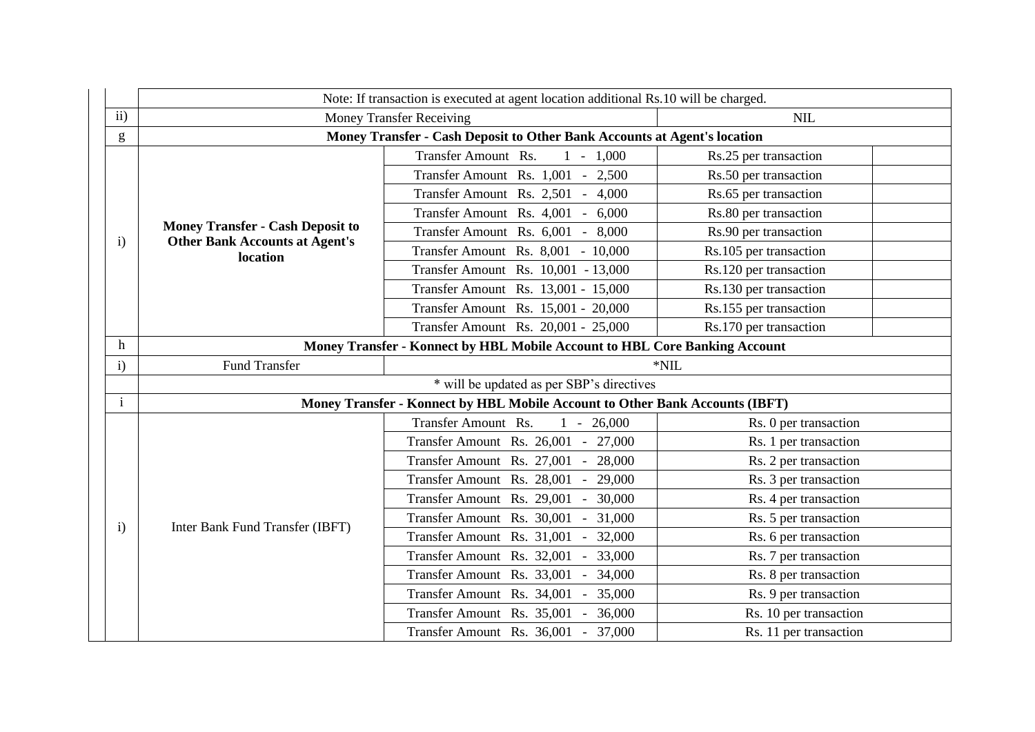|                                                                                                                                                                                                                                                                                                                                                                                                                                | Note: If transaction is executed at agent location additional Rs.10 will be charged.         |                                        |                        |
|--------------------------------------------------------------------------------------------------------------------------------------------------------------------------------------------------------------------------------------------------------------------------------------------------------------------------------------------------------------------------------------------------------------------------------|----------------------------------------------------------------------------------------------|----------------------------------------|------------------------|
| ii)                                                                                                                                                                                                                                                                                                                                                                                                                            |                                                                                              | <b>Money Transfer Receiving</b>        | <b>NIL</b>             |
| $\mathbf{g}% _{T}=\mathbf{g}_{T}=\mathbf{g}_{T}=\mathbf{g}_{T}=\mathbf{g}_{T}=\mathbf{g}_{T}=\mathbf{g}_{T}=\mathbf{g}_{T}=\mathbf{g}_{T}=\mathbf{g}_{T}=\mathbf{g}_{T}=\mathbf{g}_{T}=\mathbf{g}_{T}=\mathbf{g}_{T}=\mathbf{g}_{T}=\mathbf{g}_{T}=\mathbf{g}_{T}=\mathbf{g}_{T}=\mathbf{g}_{T}=\mathbf{g}_{T}=\mathbf{g}_{T}=\mathbf{g}_{T}=\mathbf{g}_{T}=\mathbf{g}_{T}=\mathbf{g}_{T}=\mathbf{g}_{T}=\mathbf{g}_{T}=\math$ | Money Transfer - Cash Deposit to Other Bank Accounts at Agent's location                     |                                        |                        |
|                                                                                                                                                                                                                                                                                                                                                                                                                                | <b>Money Transfer - Cash Deposit to</b><br><b>Other Bank Accounts at Agent's</b><br>location | Transfer Amount Rs.<br>$1 - 1,000$     | Rs.25 per transaction  |
|                                                                                                                                                                                                                                                                                                                                                                                                                                |                                                                                              | Transfer Amount Rs. 1,001 - 2,500      | Rs.50 per transaction  |
|                                                                                                                                                                                                                                                                                                                                                                                                                                |                                                                                              | Transfer Amount Rs. 2,501 - 4,000      | Rs.65 per transaction  |
|                                                                                                                                                                                                                                                                                                                                                                                                                                |                                                                                              | Transfer Amount Rs. 4,001 - 6,000      | Rs.80 per transaction  |
|                                                                                                                                                                                                                                                                                                                                                                                                                                |                                                                                              | Transfer Amount Rs. 6,001 - 8,000      | Rs.90 per transaction  |
| $\mathbf{i}$                                                                                                                                                                                                                                                                                                                                                                                                                   |                                                                                              | Transfer Amount Rs. 8,001 - 10,000     | Rs.105 per transaction |
|                                                                                                                                                                                                                                                                                                                                                                                                                                |                                                                                              | Transfer Amount Rs. 10,001 - 13,000    | Rs.120 per transaction |
|                                                                                                                                                                                                                                                                                                                                                                                                                                |                                                                                              | Transfer Amount Rs. 13,001 - 15,000    | Rs.130 per transaction |
|                                                                                                                                                                                                                                                                                                                                                                                                                                |                                                                                              | Transfer Amount Rs. 15,001 - 20,000    | Rs.155 per transaction |
|                                                                                                                                                                                                                                                                                                                                                                                                                                |                                                                                              | Transfer Amount Rs. 20,001 - 25,000    | Rs.170 per transaction |
| h                                                                                                                                                                                                                                                                                                                                                                                                                              | Money Transfer - Konnect by HBL Mobile Account to HBL Core Banking Account                   |                                        |                        |
| $\mathbf{i}$                                                                                                                                                                                                                                                                                                                                                                                                                   | <b>Fund Transfer</b><br>$^*$ NIL                                                             |                                        |                        |
|                                                                                                                                                                                                                                                                                                                                                                                                                                | * will be updated as per SBP's directives                                                    |                                        |                        |
| $\mathbf{i}$                                                                                                                                                                                                                                                                                                                                                                                                                   | Money Transfer - Konnect by HBL Mobile Account to Other Bank Accounts (IBFT)                 |                                        |                        |
|                                                                                                                                                                                                                                                                                                                                                                                                                                | Inter Bank Fund Transfer (IBFT)                                                              | Transfer Amount Rs.<br>$1 - 26,000$    | Rs. 0 per transaction  |
|                                                                                                                                                                                                                                                                                                                                                                                                                                |                                                                                              | Transfer Amount Rs. 26,001 - 27,000    | Rs. 1 per transaction  |
|                                                                                                                                                                                                                                                                                                                                                                                                                                |                                                                                              | Transfer Amount Rs. 27,001 -<br>28,000 | Rs. 2 per transaction  |
|                                                                                                                                                                                                                                                                                                                                                                                                                                |                                                                                              | Transfer Amount Rs. 28,001 -<br>29,000 | Rs. 3 per transaction  |
|                                                                                                                                                                                                                                                                                                                                                                                                                                |                                                                                              | Transfer Amount Rs. 29,001 -<br>30,000 | Rs. 4 per transaction  |
| $\mathbf{i}$                                                                                                                                                                                                                                                                                                                                                                                                                   |                                                                                              | Transfer Amount Rs. 30,001 -<br>31,000 | Rs. 5 per transaction  |
|                                                                                                                                                                                                                                                                                                                                                                                                                                |                                                                                              | Transfer Amount Rs. 31,001 -<br>32,000 | Rs. 6 per transaction  |
|                                                                                                                                                                                                                                                                                                                                                                                                                                |                                                                                              | 33,000<br>Transfer Amount Rs. 32,001 - | Rs. 7 per transaction  |
|                                                                                                                                                                                                                                                                                                                                                                                                                                |                                                                                              | Transfer Amount Rs. 33,001 -<br>34,000 | Rs. 8 per transaction  |
|                                                                                                                                                                                                                                                                                                                                                                                                                                |                                                                                              | Transfer Amount Rs. 34,001 -<br>35,000 | Rs. 9 per transaction  |
|                                                                                                                                                                                                                                                                                                                                                                                                                                |                                                                                              | Transfer Amount Rs. 35,001 - 36,000    | Rs. 10 per transaction |
|                                                                                                                                                                                                                                                                                                                                                                                                                                |                                                                                              | Transfer Amount Rs. 36,001 - 37,000    | Rs. 11 per transaction |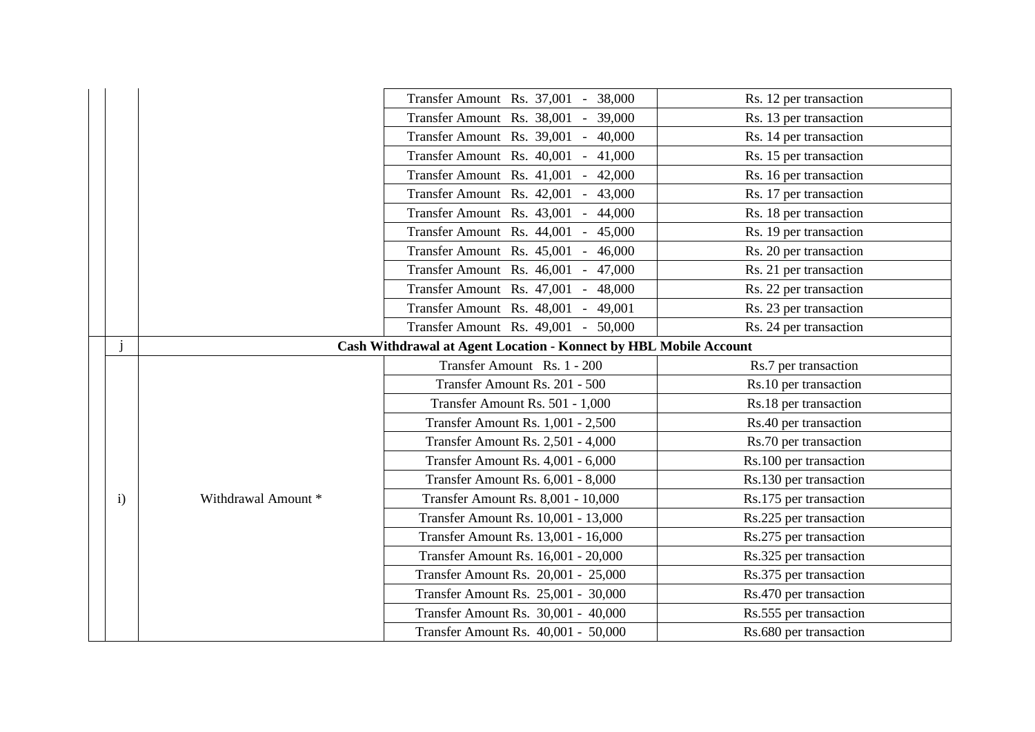|  |              |                     | Transfer Amount Rs. 37,001 - 38,000                               | Rs. 12 per transaction |  |
|--|--------------|---------------------|-------------------------------------------------------------------|------------------------|--|
|  |              |                     | Transfer Amount Rs. 38,001 - 39,000                               | Rs. 13 per transaction |  |
|  |              |                     | Transfer Amount Rs. 39,001 - 40,000                               | Rs. 14 per transaction |  |
|  |              |                     | Transfer Amount Rs. 40,001<br>$-41,000$                           | Rs. 15 per transaction |  |
|  |              |                     | Transfer Amount Rs. 41,001<br>42,000                              | Rs. 16 per transaction |  |
|  |              |                     | Transfer Amount Rs. 42,001<br>43,000<br>$\sim$                    | Rs. 17 per transaction |  |
|  |              |                     | Transfer Amount Rs. 43,001<br>44,000                              | Rs. 18 per transaction |  |
|  |              |                     | Transfer Amount Rs. 44,001 -<br>45,000                            | Rs. 19 per transaction |  |
|  |              |                     | Transfer Amount Rs. 45,001<br>46,000                              | Rs. 20 per transaction |  |
|  |              |                     | Transfer Amount Rs. 46,001 - 47,000                               | Rs. 21 per transaction |  |
|  |              |                     | Transfer Amount Rs. 47,001 - 48,000                               | Rs. 22 per transaction |  |
|  |              |                     | Transfer Amount Rs. 48,001 - 49,001                               | Rs. 23 per transaction |  |
|  |              |                     | Transfer Amount Rs. 49,001 - 50,000                               | Rs. 24 per transaction |  |
|  |              |                     | Cash Withdrawal at Agent Location - Konnect by HBL Mobile Account |                        |  |
|  |              | Withdrawal Amount * | Transfer Amount Rs. 1 - 200                                       | Rs.7 per transaction   |  |
|  |              |                     | Transfer Amount Rs. 201 - 500                                     | Rs.10 per transaction  |  |
|  |              |                     | Transfer Amount Rs. 501 - 1,000                                   | Rs.18 per transaction  |  |
|  |              |                     | Transfer Amount Rs. 1,001 - 2,500                                 | Rs.40 per transaction  |  |
|  |              |                     | Transfer Amount Rs. 2,501 - 4,000                                 | Rs.70 per transaction  |  |
|  |              |                     | Transfer Amount Rs. 4,001 - 6,000                                 | Rs.100 per transaction |  |
|  |              |                     | Transfer Amount Rs. 6,001 - 8,000                                 | Rs.130 per transaction |  |
|  | $\mathbf{i}$ |                     | Transfer Amount Rs. 8,001 - 10,000                                | Rs.175 per transaction |  |
|  |              |                     | Transfer Amount Rs. 10,001 - 13,000                               | Rs.225 per transaction |  |
|  |              |                     | Transfer Amount Rs. 13,001 - 16,000                               | Rs.275 per transaction |  |
|  |              |                     | Transfer Amount Rs. 16,001 - 20,000                               | Rs.325 per transaction |  |
|  |              |                     |                                                                   |                        |  |
|  |              |                     | Transfer Amount Rs. 20,001 - 25,000                               | Rs.375 per transaction |  |
|  |              |                     | Transfer Amount Rs. 25,001 - 30,000                               | Rs.470 per transaction |  |
|  |              |                     | Transfer Amount Rs. 30,001 - 40,000                               | Rs.555 per transaction |  |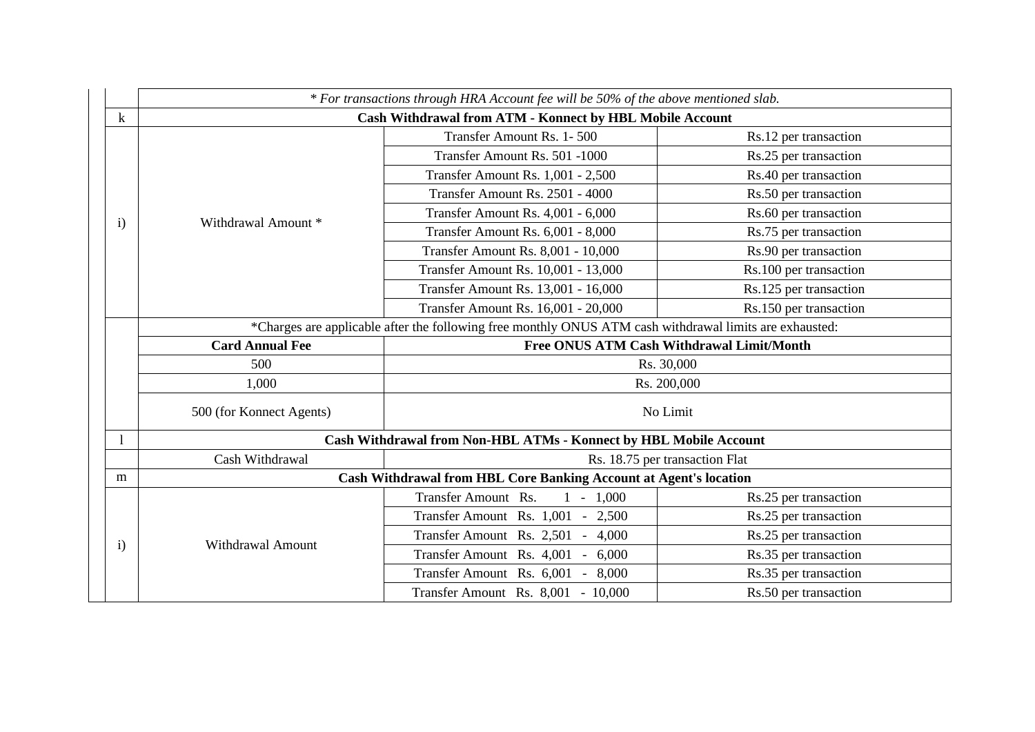|                                                                     | * For transactions through HRA Account fee will be 50% of the above mentioned slab.                     |                                                                   |                        |
|---------------------------------------------------------------------|---------------------------------------------------------------------------------------------------------|-------------------------------------------------------------------|------------------------|
| $\bf k$                                                             | Cash Withdrawal from ATM - Konnect by HBL Mobile Account                                                |                                                                   |                        |
|                                                                     | Withdrawal Amount *                                                                                     | Transfer Amount Rs. 1-500                                         | Rs.12 per transaction  |
|                                                                     |                                                                                                         | Transfer Amount Rs. 501 -1000                                     | Rs.25 per transaction  |
|                                                                     |                                                                                                         | Transfer Amount Rs. 1,001 - 2,500                                 | Rs.40 per transaction  |
|                                                                     |                                                                                                         | Transfer Amount Rs. 2501 - 4000                                   | Rs.50 per transaction  |
| $\mathbf{i}$                                                        |                                                                                                         | Transfer Amount Rs. 4,001 - 6,000                                 | Rs.60 per transaction  |
|                                                                     |                                                                                                         | Transfer Amount Rs. 6,001 - 8,000                                 | Rs.75 per transaction  |
|                                                                     |                                                                                                         | <b>Transfer Amount Rs. 8,001 - 10,000</b>                         | Rs.90 per transaction  |
|                                                                     |                                                                                                         | Transfer Amount Rs. 10,001 - 13,000                               | Rs.100 per transaction |
|                                                                     |                                                                                                         | Transfer Amount Rs. 13,001 - 16,000                               | Rs.125 per transaction |
|                                                                     |                                                                                                         | Transfer Amount Rs. 16,001 - 20,000                               | Rs.150 per transaction |
|                                                                     | *Charges are applicable after the following free monthly ONUS ATM cash withdrawal limits are exhausted: |                                                                   |                        |
| Free ONUS ATM Cash Withdrawal Limit/Month<br><b>Card Annual Fee</b> |                                                                                                         |                                                                   |                        |
|                                                                     | 500                                                                                                     |                                                                   | Rs. 30,000             |
|                                                                     | 1,000                                                                                                   |                                                                   | Rs. 200,000            |
|                                                                     | 500 (for Konnect Agents)                                                                                |                                                                   | No Limit               |
|                                                                     |                                                                                                         | Cash Withdrawal from Non-HBL ATMs - Konnect by HBL Mobile Account |                        |
|                                                                     | Cash Withdrawal                                                                                         | Rs. 18.75 per transaction Flat                                    |                        |
| m                                                                   | Cash Withdrawal from HBL Core Banking Account at Agent's location                                       |                                                                   |                        |
|                                                                     | <b>Withdrawal Amount</b>                                                                                | Transfer Amount Rs.<br>$1 - 1,000$                                | Rs.25 per transaction  |
|                                                                     |                                                                                                         | Transfer Amount Rs. 1,001 - 2,500                                 | Rs.25 per transaction  |
| $\mathbf{i}$                                                        |                                                                                                         | Transfer Amount Rs. 2,501 - 4,000                                 | Rs.25 per transaction  |
|                                                                     |                                                                                                         | Transfer Amount Rs. 4,001 - 6,000                                 | Rs.35 per transaction  |
|                                                                     |                                                                                                         | Transfer Amount Rs. 6,001 - 8,000                                 | Rs.35 per transaction  |
|                                                                     |                                                                                                         | Transfer Amount Rs. 8,001 - 10,000                                | Rs.50 per transaction  |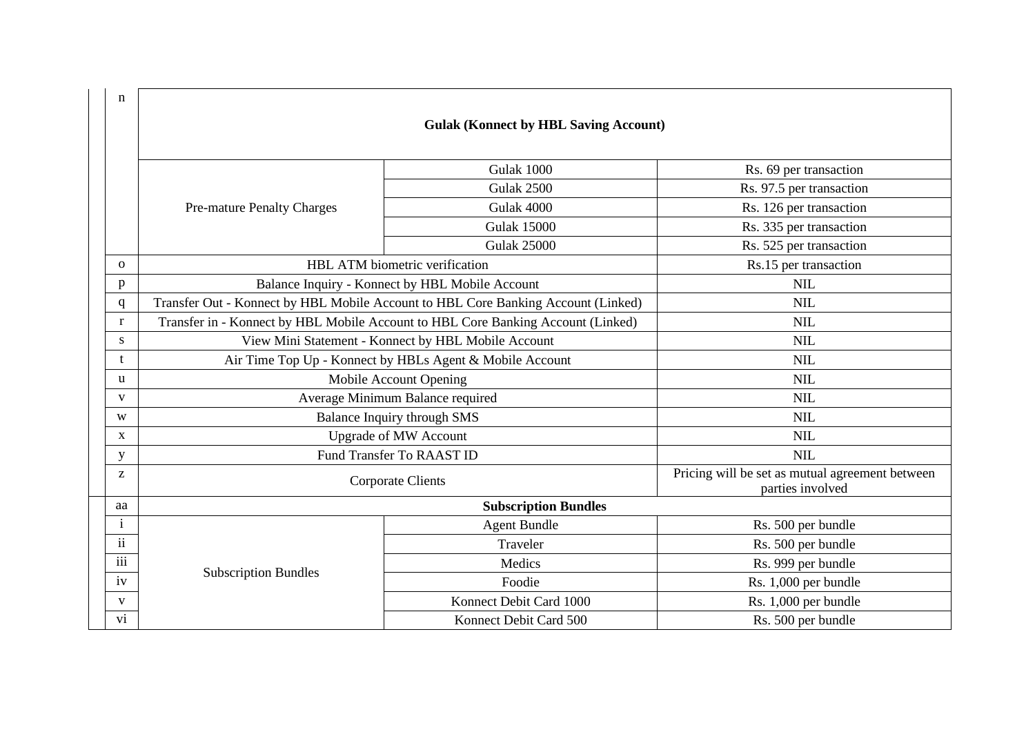| $\mathbf n$  |                                                                                   |                                |                                                                     |
|--------------|-----------------------------------------------------------------------------------|--------------------------------|---------------------------------------------------------------------|
|              | <b>Gulak (Konnect by HBL Saving Account)</b>                                      |                                |                                                                     |
|              |                                                                                   |                                |                                                                     |
|              |                                                                                   | Gulak 1000                     | Rs. 69 per transaction                                              |
|              |                                                                                   | Gulak 2500                     | Rs. 97.5 per transaction                                            |
|              | <b>Pre-mature Penalty Charges</b>                                                 | Gulak 4000                     | Rs. 126 per transaction                                             |
|              |                                                                                   | <b>Gulak 15000</b>             | Rs. 335 per transaction                                             |
|              |                                                                                   | <b>Gulak 25000</b>             | Rs. 525 per transaction                                             |
| $\mathbf{O}$ |                                                                                   | HBL ATM biometric verification | Rs.15 per transaction                                               |
| p            | Balance Inquiry - Konnect by HBL Mobile Account                                   |                                | <b>NIL</b>                                                          |
| $\mathbf q$  | Transfer Out - Konnect by HBL Mobile Account to HBL Core Banking Account (Linked) |                                | <b>NIL</b>                                                          |
| $\mathbf{r}$ | Transfer in - Konnect by HBL Mobile Account to HBL Core Banking Account (Linked)  |                                | <b>NIL</b>                                                          |
| S            | View Mini Statement - Konnect by HBL Mobile Account                               |                                | <b>NIL</b>                                                          |
| t            | Air Time Top Up - Konnect by HBLs Agent & Mobile Account                          |                                | <b>NIL</b>                                                          |
| <b>u</b>     | Mobile Account Opening                                                            |                                | <b>NIL</b>                                                          |
| $\mathbf{V}$ | Average Minimum Balance required                                                  |                                | <b>NIL</b>                                                          |
| W            | Balance Inquiry through SMS                                                       |                                | <b>NIL</b>                                                          |
| $\mathbf X$  | <b>Upgrade of MW Account</b>                                                      |                                | <b>NIL</b>                                                          |
| $\mathbf y$  | Fund Transfer To RAAST ID                                                         |                                | <b>NIL</b>                                                          |
| Z            | <b>Corporate Clients</b>                                                          |                                | Pricing will be set as mutual agreement between<br>parties involved |
| aa           | <b>Subscription Bundles</b>                                                       |                                |                                                                     |
| $\mathbf{i}$ |                                                                                   | <b>Agent Bundle</b>            | Rs. 500 per bundle                                                  |
| ii           |                                                                                   | Traveler                       | Rs. 500 per bundle                                                  |
| iii          | <b>Subscription Bundles</b>                                                       | Medics                         | Rs. 999 per bundle                                                  |
| iv           |                                                                                   | Foodie                         | Rs. 1,000 per bundle                                                |
| $\mathbf{V}$ |                                                                                   | Konnect Debit Card 1000        | Rs. 1,000 per bundle                                                |
| vi           |                                                                                   | Konnect Debit Card 500         | Rs. 500 per bundle                                                  |